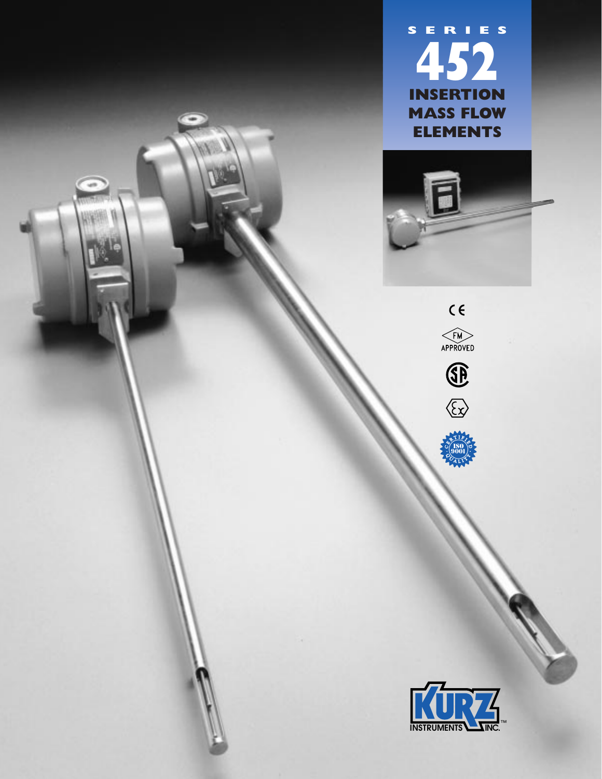





**. C** $\frac{e^{T}$   $R}{F}$ **C USO**<br>**P ALL C**<br>P **ALL** 9001

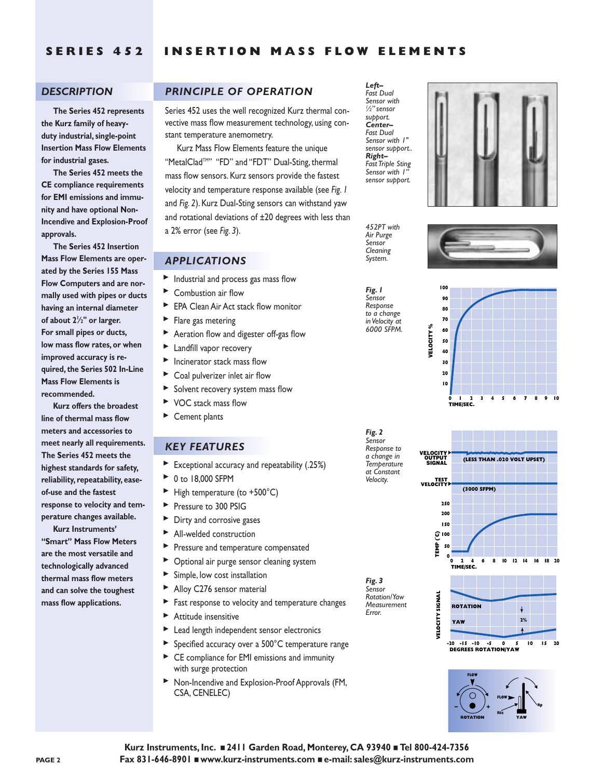## *DESCRIPTION*

**The Series 452 represents the Kurz family of heavyduty industrial, single-point Insertion Mass Flow Elements for industrial gases.**

**The Series 452 meets the CE compliance requirements for EMI emissions and immunity and have optional Non-Incendive and Explosion-Proof approvals.**

**The Series 452 Insertion Mass Flow Elements are operated by the Series 155 Mass Flow Computers and are normally used with pipes or ducts having an internal diameter of about 21 ⁄2" or larger. For small pipes or ducts, low mass flow rates, or when improved accuracy is required, the Series 502 In-Line Mass Flow Elements is recommended.**

**Kurz offers the broadest line of thermal mass flow meters and accessories to meet nearly all requirements. The Series 452 meets the highest standards for safety, reliability, repeatability, easeof-use and the fastest response to velocity and temperature changes available.**

**Kurz Instruments' "Smart" Mass Flow Meters are the most versatile and technologically advanced thermal mass flow meters and can solve the toughest mass flow applications.**

# *PRINCIPLE OF OPERATION*

Series 452 uses the well recognized Kurz thermal convective mass flow measurement technology, using constant temperature anemometry.

Kurz Mass Flow Elements feature the unique "MetalClad<sup>TM"</sup> "FD" and "FDT" Dual-Sting, thermal mass flow sensors. Kurz sensors provide the fastest velocity and temperature response available (see *Fig. 1* and *Fig. 2*). Kurz Dual-Sting sensors can withstand yaw and rotational deviations of ±20 degrees with less than a 2% error (see *Fig. 3*).

### *APPLICATIONS*

- $\blacktriangleright$  Industrial and process gas mass flow
- ▶ Combustion air flow
- ▶ EPA Clean Air Act stack flow monitor
- $\blacktriangleright$  Flare gas metering ▲▲▲▲▲▲▲▲▲▲▲
	- Aeration flow and digester off-gas flow
	- **Landfill vapor recovery**
	- $\blacktriangleright$  Incinerator stack mass flow
	- ▶ Coal pulverizer inlet air flow
	- $\blacktriangleright$  Solvent recovery system mass flow
	- ▶ VOC stack mass flow
	- ▶ Cement plants

#### *KEY FEATURES*

- Exceptional accuracy and repeatability (.25%)
- ▶ 0 to 18,000 SFPM
- $\blacktriangleright$  High temperature (to +500°C)
- Pressure to 300 PSIG
- Dirty and corrosive gases ▲▲▲▲▲▲▲▲▲▲▲▲▲▲▲
- All-welded construction
- Pressure and temperature compensated
- Optional air purge sensor cleaning system
- Simple, low cost installation
- ▶ Alloy C276 sensor material
- Fast response to velocity and temperature changes
- $\blacktriangleright$  Attitude insensitive
- ▶ Lead length independent sensor electronics
- ▶ Specified accuracy over a 500°C temperature range
- ▶ CE compliance for EMI emissions and immunity with surge protection
- $\triangleright$  Non-Incendive and Explosion-Proof Approvals (FM,<br>CSA CENELEC) CSA, CENELEC)



*Fig. 1 Sensor Response to a change in Velocity at 6000 SFPM.*

*452PT with Air Purge Sensor Cleaning System.*

*Fig. 2 Sensor Response to a change in Temperature at Constant Velocity.*

*Fig. 3 Sensor Rotation/Yaw Measurement Error.*









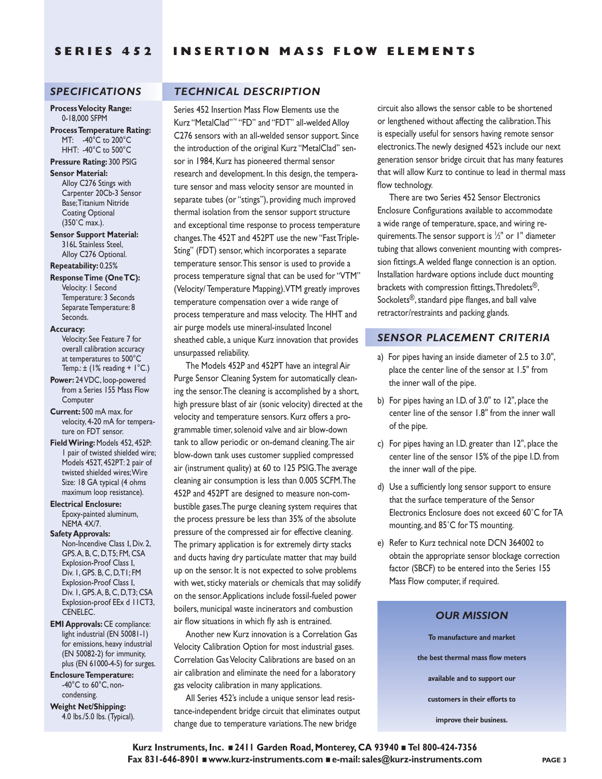# *SPECIFICATIONS*

**Process Velocity Range:** 0-18,000 SFPM

**Process Temperature Rating:** MT: -40°C to 200°C HHT: -40°C to 500°C

# **Pressure Rating:** 300 PSIG

**Sensor Material:** Alloy C276 Stings with Carpenter 20Cb-3 Sensor Base;Titanium Nitride Coating Optional (350˚C max.).

**Sensor Support Material:** 316L Stainless Steel, Alloy C276 Optional.

**Repeatability:** 0.25%

**Response Time (One TC):** Velocity: 1 Second Temperature: 3 Seconds Separate Temperature: 8 Seconds.

#### **Accuracy:**

Velocity: See Feature 7 for overall calibration accuracy at temperatures to 500°C Temp.:  $\pm$  (1% reading + 1°C.)

- **Power:** 24 VDC, loop-powered from a Series 155 Mass Flow **Computer**
- **Current:** 500 mA max. for velocity, 4-20 mA for temperature on FDT sensor.
- **Field Wiring:** Models 452, 452P: 1 pair of twisted shielded wire; Models 452T, 452PT: 2 pair of twisted shielded wires;Wire Size: 18 GA typical (4 ohms maximum loop resistance).
- **Electrical Enclosure:** Epoxy-painted aluminum,

NEMA 4X/7. **Safety Approvals:**

Non-Incendive Class I, Div. 2, GPS.A, B, C, D,T5; FM, CSA Explosion-Proof Class I, Div. 1, GPS. B, C, D,T1; FM Explosion-Proof Class I, Div. 1, GPS.A, B, C, D,T3; CSA Explosion-proof EEx d 11CT3, CENELEC.

**EMI Approvals:** CE compliance: light industrial (EN 50081-1) for emissions, heavy industrial (EN 50082-2) for immunity, plus (EN 61000-4-5) for surges.

**Enclosure Temperature:**  $-40^{\circ}$ C to  $60^{\circ}$ C, noncondensing.

**Weight Net/Shipping:** 4.0 lbs./5.0 lbs. (Typical).

# *TECHNICAL DESCRIPTION*

Series 452 Insertion Mass Flow Elements use the Kurz "MetalClad"™ "FD" and "FDT" all-welded Alloy C276 sensors with an all-welded sensor support. Since the introduction of the original Kurz "MetalClad" sensor in 1984, Kurz has pioneered thermal sensor research and development. In this design, the temperature sensor and mass velocity sensor are mounted in separate tubes (or "stings"), providing much improved thermal isolation from the sensor support structure and exceptional time response to process temperature changes.The 452T and 452PT use the new "Fast Triple-Sting" (FDT) sensor, which incorporates a separate temperature sensor.This sensor is used to provide a process temperature signal that can be used for "VTM" (Velocity/ Temperature Mapping).VTM greatly improves temperature compensation over a wide range of process temperature and mass velocity. The HHT and air purge models use mineral-insulated Inconel sheathed cable, a unique Kurz innovation that provides unsurpassed reliability.

The Models 452P and 452PT have an integral Air Purge Sensor Cleaning System for automatically cleaning the sensor.The cleaning is accomplished by a short, high pressure blast of air (sonic velocity) directed at the velocity and temperature sensors. Kurz offers a programmable timer, solenoid valve and air blow-down tank to allow periodic or on-demand cleaning.The air blow-down tank uses customer supplied compressed air (instrument quality) at 60 to 125 PSIG.The average cleaning air consumption is less than 0.005 SCFM.The 452P and 452PT are designed to measure non-combustible gases.The purge cleaning system requires that the process pressure be less than 35% of the absolute pressure of the compressed air for effective cleaning. The primary application is for extremely dirty stacks and ducts having dry particulate matter that may build up on the sensor. It is not expected to solve problems with wet, sticky materials or chemicals that may solidify on the sensor.Applications include fossil-fueled power boilers, municipal waste incinerators and combustion air flow situations in which fly ash is entrained.

Another new Kurz innovation is a Correlation Gas Velocity Calibration Option for most industrial gases. Correlation Gas Velocity Calibrations are based on an air calibration and eliminate the need for a laboratory gas velocity calibration in many applications.

All Series 452's include a unique sensor lead resistance-independent bridge circuit that eliminates output change due to temperature variations.The new bridge

circuit also allows the sensor cable to be shortened or lengthened without affecting the calibration.This is especially useful for sensors having remote sensor electronics.The newly designed 452's include our next generation sensor bridge circuit that has many features that will allow Kurz to continue to lead in thermal mass flow technology.

There are two Series 452 Sensor Electronics Enclosure Configurations available to accommodate a wide range of temperature, space, and wiring requirements.The sensor support is 1 ⁄2" or 1" diameter tubing that allows convenient mounting with compression fittings.A welded flange connection is an option. Installation hardware options include duct mounting brackets with compression fittings,Thredolets®, Sockolets®, standard pipe flanges, and ball valve retractor/restraints and packing glands.

### *SENSOR PLACEMENT CRITERIA*

- a) For pipes having an inside diameter of 2.5 to 3.0", place the center line of the sensor at 1.5" from the inner wall of the pipe.
- b) For pipes having an I.D. of 3.0" to 12", place the center line of the sensor 1.8" from the inner wall of the pipe.
- c) For pipes having an I.D. greater than 12", place the center line of the sensor 15% of the pipe I.D. from the inner wall of the pipe.
- d) Use a sufficiently long sensor support to ensure that the surface temperature of the Sensor Electronics Enclosure does not exceed 60˚C for TA mounting, and 85˚C for TS mounting.
- e) Refer to Kurz technical note DCN 364002 to obtain the appropriate sensor blockage correction factor (SBCF) to be entered into the Series 155 Mass Flow computer, if required.

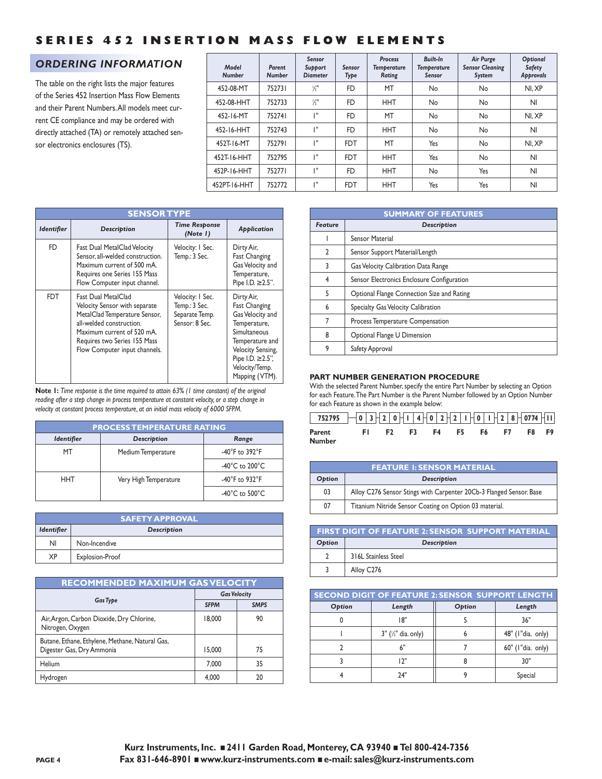# *ORDERING INFORMATION*

The table on the right lists the major features of the Series 452 Insertion Mass Flow Elements and their Parent Numbers.All models meet current CE compliance and may be ordered with directly attached (TA) or remotely attached sensor electronics enclosures (TS).

| Model<br><b>Number</b> | Parent<br><b>Number</b> | Sensor<br>Support<br><b>Diameter</b> | Sensor<br>Type | <b>Process</b><br><b>Temperature</b><br>Rating | Built-In<br><b>Temperature</b><br>Sensor | <b>Air Purge</b><br><b>Sensor Cleaning</b><br>System | Optional<br><b>Safety</b><br>Approvals |
|------------------------|-------------------------|--------------------------------------|----------------|------------------------------------------------|------------------------------------------|------------------------------------------------------|----------------------------------------|
| 452-08-MT              | 752731                  | $\frac{1}{2}$                        | <b>FD</b>      | MT                                             | No                                       | No                                                   | NI.XP                                  |
| 452-08-HHT             | 752733                  | $\frac{1}{2}$                        | <b>FD</b>      | <b>HHT</b>                                     | No                                       | No                                                   | NI                                     |
| 452-16-MT              | 752741                  | TШ                                   | <b>FD</b>      | MT                                             | No                                       | No                                                   | NI.XP                                  |
| 452-16-HHT             | 752743                  | ı"                                   | <b>FD</b>      | <b>HHT</b>                                     | No                                       | No                                                   | NI                                     |
| 452T-16-MT             | 752791                  | ı"                                   | <b>FDT</b>     | MT                                             | Yes                                      | No                                                   | NI.XP                                  |
| 452T-16-HHT            | 752795                  | ı٠                                   | <b>FDT</b>     | <b>HHT</b>                                     | Yes                                      | No                                                   | NI                                     |
| 452P-16-HHT            | 752771                  | ıш                                   | <b>FD</b>      | <b>HHT</b>                                     | No                                       | Yes                                                  | NI                                     |
| 452PT-16-HHT           | 752772                  | TШ                                   | <b>FDT</b>     | <b>HHT</b>                                     | Yes                                      | Yes                                                  | NI                                     |

|                   | <b>SENSOR TYPE</b>                                                                                                                                                                                               |                                                                       |                                                                                                                                                                                         |  |  |  |
|-------------------|------------------------------------------------------------------------------------------------------------------------------------------------------------------------------------------------------------------|-----------------------------------------------------------------------|-----------------------------------------------------------------------------------------------------------------------------------------------------------------------------------------|--|--|--|
| <b>Identifier</b> | Description                                                                                                                                                                                                      | <b>Time Response</b><br>(Note I)                                      | Application                                                                                                                                                                             |  |  |  |
| <b>FD</b>         | Fast Dual MetalClad Velocity<br>Sensor, all-welded construction.<br>Maximum current of 500 mA.<br>Requires one Series 155 Mass<br>Flow Computer input channel.                                                   | Velocity: I Sec.<br>Temp.: 3 Sec.                                     | Dirty Air,<br>Fast Changing<br>Gas Velocity and<br>Temperature,<br>Pipe I.D. ≥ 2.5".                                                                                                    |  |  |  |
| <b>FDT</b>        | Fast Dual MetalClad<br>Velocity Sensor with separate<br>MetalClad Temperature Sensor,<br>all-welded construction.<br>Maximum current of 520 mA.<br>Requires two Series 155 Mass<br>Flow Computer input channels. | Velocity: I Sec.<br>Temp.: 3 Sec.<br>Separate Temp.<br>Sensor: 8 Sec. | Dirty Air,<br><b>Fast Changing</b><br>Gas Velocity and<br>Temperature,<br>Simultaneous<br>Temperature and<br>Velocity Sensing,<br>Pipe I.D. ≥ 2.5",<br>Velocity/Temp.<br>Mapping (VTM). |  |  |  |

**Note 1:** *Time response is the time required to attain 63% (1 time constant) of the original reading after a step change in process temperature at constant velocity, or a step change in velocity at constant process temperature, at an initial mass velocity of 6000 SFPM.*

| <b>PROCESS TEMPERATURE RATING</b> |                       |                                      |  |  |
|-----------------------------------|-----------------------|--------------------------------------|--|--|
| <b>Identifier</b>                 | Description           | Range                                |  |  |
| МT                                | Medium Temperature    | -40 $\degree$ F to 392 $\degree$ F   |  |  |
|                                   |                       | -40 $^{\circ}$ C to 200 $^{\circ}$ C |  |  |
| HHT                               | Very High Temperature | -40 $\degree$ F to 932 $\degree$ F   |  |  |
|                                   |                       | -40 $^{\circ}$ C to 500 $^{\circ}$ C |  |  |

| <b>SAFETY APPROVAL</b> |                 |  |  |
|------------------------|-----------------|--|--|
| <b>Identifier</b>      | Description     |  |  |
| ΝI                     | Non-Incendive   |  |  |
| XP                     | Explosion-Proof |  |  |

# **RECOMMENDED MAXIMUM GAS VELOCITY**

|                                                                              | <b>Gas Velocity</b> |             |  |
|------------------------------------------------------------------------------|---------------------|-------------|--|
| <b>Gas Type</b>                                                              | <b>SFPM</b>         | <b>SMPS</b> |  |
| Air, Argon, Carbon Dioxide, Dry Chlorine,<br>Nitrogen, Oxygen                | 18,000              | 90          |  |
| Butane, Ethane, Ethylene, Methane, Natural Gas,<br>Digester Gas, Dry Ammonia | 15,000              | 75          |  |
| Helium                                                                       | 7.000               | 35          |  |
| Hydrogen                                                                     | 4.000               | 20          |  |

|                | <b>SUMMARY OF FEATURES</b>                 |  |  |  |
|----------------|--------------------------------------------|--|--|--|
| <b>Feature</b> | Description                                |  |  |  |
|                | <b>Sensor Material</b>                     |  |  |  |
| $\mathfrak z$  | Sensor Support Material/Length             |  |  |  |
| 3              | Gas Velocity Calibration Data Range        |  |  |  |
| 4              | Sensor Electronics Enclosure Configuration |  |  |  |
| 5              | Optional Flange Connection Size and Rating |  |  |  |
| 6              | Specialty Gas Velocity Calibration         |  |  |  |
| 7              | Process Temperature Compensation           |  |  |  |
| 8              | Optional Flange U Dimension                |  |  |  |
| 9              | Safety Approval                            |  |  |  |

#### **PART NUMBER GENERATION PROCEDURE**

With the selected Parent Number, specify the entire Part Number by selecting an Option for each Feature.The Part Number is the Parent Number followed by an Option Number for each Feature as shown in the example below:

| $752795 - 0372 0114 0272 101 28 0774 11$ |        |                               |       |       |     |  |
|------------------------------------------|--------|-------------------------------|-------|-------|-----|--|
| Parent<br>Number                         | - FL - | F <sub>2</sub> F <sub>3</sub> | F4 F5 | F6 F7 | F8. |  |

| <b>FEATURE 1: SENSOR MATERIAL</b> |                                                                     |  |  |
|-----------------------------------|---------------------------------------------------------------------|--|--|
| Option                            | Description                                                         |  |  |
| 03                                | Alloy C276 Sensor Stings with Carpenter 20Cb-3 Flanged Sensor. Base |  |  |
| 07                                | Titanium Nitride Sensor Coating on Option 03 material.              |  |  |

| <b>FIRST DIGIT OF FEATURE 2: SENSOR SUPPORT MATERIAL</b> |                      |  |  |  |
|----------------------------------------------------------|----------------------|--|--|--|
| Option                                                   | Description          |  |  |  |
|                                                          | 316L Stainless Steel |  |  |  |
|                                                          | Alloy C276           |  |  |  |

| <b>SECOND DIGIT OF FEATURE 2: SENSOR SUPPORT LENGTH</b> |                                    |        |                   |  |  |
|---------------------------------------------------------|------------------------------------|--------|-------------------|--|--|
| Option                                                  | Length                             | Option | Length            |  |  |
|                                                         | 18"                                |        | 36"               |  |  |
|                                                         | $3''$ ( $\frac{1}{2}''$ dia. only) |        | 48" (I"dia. only) |  |  |
|                                                         | 6"                                 |        | 60" (I"dia. only) |  |  |
|                                                         | 12"                                |        | 30"               |  |  |
|                                                         | 74"                                |        | Special           |  |  |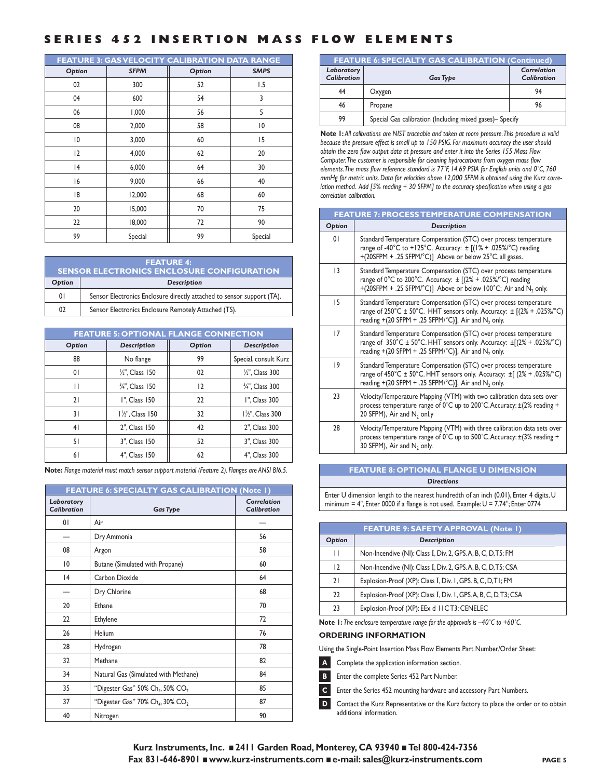| <b>FEATURE 3: GASVELOCITY CALIBRATION DATA RANGE</b> |             |        |                |  |  |
|------------------------------------------------------|-------------|--------|----------------|--|--|
| Option                                               | <b>SFPM</b> | Option | <b>SMPS</b>    |  |  |
| 02                                                   | 300         | 52     | 1.5            |  |  |
| 04                                                   | 600         | 54     | 3              |  |  |
| 06                                                   | 1,000       | 56     | 5              |  |  |
| 08                                                   | 2,000       | 58     | $\overline{0}$ |  |  |
| $\overline{0}$                                       | 3,000       | 60     | 15             |  |  |
| $ 2\rangle$                                          | 4,000       | 62     | 20             |  |  |
| 4                                                    | 6,000       | 64     | 30             |  |  |
| 16                                                   | 9,000       | 66     | 40             |  |  |
| 18                                                   | 12,000      | 68     | 60             |  |  |
| 20                                                   | 15,000      | 70     | 75             |  |  |
| 22                                                   | 18,000      | 72     | 90             |  |  |
| 99                                                   | Special     | 99     | Special        |  |  |

| <b>FEATURE 4:</b><br><b>SENSOR ELECTRONICS ENCLOSURE CONFIGURATION</b> |                                                                        |  |  |
|------------------------------------------------------------------------|------------------------------------------------------------------------|--|--|
| Option                                                                 | Description                                                            |  |  |
| 0 <sup>1</sup>                                                         | Sensor Electronics Enclosure directly attached to sensor support (TA). |  |  |
| 02                                                                     | Sensor Electronics Enclosure Remotely Attached (TS).                   |  |  |

| <b>FEATURE 5: OPTIONAL FLANGE CONNECTION</b> |                            |        |                            |  |
|----------------------------------------------|----------------------------|--------|----------------------------|--|
| Option                                       | Description                | Option | Description                |  |
| 88                                           | No flange                  | 99     | Special, consult Kurz      |  |
| 01                                           | $\frac{1}{2}$ ". Class 150 | 02     | 1/2", Class 300            |  |
| П                                            | 3/4", Class 150            | 2      | 3/4", Class 300            |  |
| 21                                           | I", Class 150              | 22     | I". Class 300              |  |
| 31                                           | $1\frac{1}{2}$ , Class 150 | 32     | $1\frac{1}{2}$ , Class 300 |  |
| 41                                           | 2", Class 150              | 42     | 2", Class 300              |  |
| 51                                           | 3", Class 150              | 52     | 3", Class 300              |  |
| 61                                           | 4", Class 150              | 62     | 4", Class 300              |  |

**Note:** *Flange material must match sensor support material (Feature 2). Flanges are ANSI BI6.5.*

| FEATURE 6: SPECIALTY GAS CALIBRATION (Note 1) |                                                                |                                   |
|-----------------------------------------------|----------------------------------------------------------------|-----------------------------------|
| Laboratory<br>Calibration                     | <b>Gas Type</b>                                                | Correlation<br><b>Calibration</b> |
| 01                                            | Air                                                            |                                   |
|                                               | Dry Ammonia                                                    | 56                                |
| 08                                            | Argon                                                          | 58                                |
| $\overline{0}$                                | Butane (Simulated with Propane)                                | 60                                |
| 4                                             | Carbon Dioxide                                                 | 64                                |
|                                               | Dry Chlorine                                                   | 68                                |
| 20                                            | <b>Fthane</b>                                                  | 70                                |
| 22                                            | Ethylene                                                       | 72                                |
| 26                                            | Helium                                                         | 76                                |
| 28                                            | Hydrogen                                                       | 78                                |
| 32                                            | Methane                                                        | 82                                |
| 34                                            | Natural Gas (Simulated with Methane)                           | 84                                |
| 35                                            | "Digester Gas" $50\%$ Ch <sub>4</sub> , $50\%$ CO <sub>2</sub> | 85                                |
| 37                                            | "Digester Gas" 70% Ch <sub>4</sub> , 30% CO <sub>2</sub>       | 87                                |
| 40                                            | Nitrogen                                                       | 90                                |

| <b>FEATURE 6: SPECIALTY GAS CALIBRATION (Continued)</b> |                                                          |                                   |
|---------------------------------------------------------|----------------------------------------------------------|-----------------------------------|
| Laboratory<br><b>Calibration</b>                        | <b>Gas Type</b>                                          | Correlation<br><b>Calibration</b> |
| 44                                                      | Oxygen                                                   | 94                                |
| 46                                                      | Propane                                                  | 96                                |
| 99                                                      | Special Gas calibration (Including mixed gases)- Specify |                                   |
|                                                         |                                                          |                                   |

**Note 1:** *All calibrations are NIST traceable and taken at room pressure.This procedure is valid because the pressure effect is small up to 150 PSIG. For maximum accuracy the user should obtain the zero flow output data at pressure and enter it into the Series 155 Mass Flow Computer.The customer is responsible for cleaning hydrocarbons from oxygen mass flow elements.The mass flow reference standard is 77˚F, 14.69 PSIA for English units and 0˚C, 760 mmHg for metric units. Data for velocities above 12,000 SFPM is obtained using the Kurz correlation method. Add [5% reading + 30 SFPM] to the accuracy specification when using a gas correlation calibration.*

| <b>FEATURE 7: PROCESS TEMPERATURE COMPENSATION</b> |                                                                                                                                                                                                                                                 |  |
|----------------------------------------------------|-------------------------------------------------------------------------------------------------------------------------------------------------------------------------------------------------------------------------------------------------|--|
| Option                                             | Description                                                                                                                                                                                                                                     |  |
| 01                                                 | Standard Temperature Compensation (STC) over process temperature<br>range of -40°C to +125°C. Accuracy: ± [(1% + .025%/°C) reading<br>+(20SFPM + .25 SFPM/°C)] Above or below 25°C, all gases.                                                  |  |
| 13                                                 | Standard Temperature Compensation (STC) over process temperature<br>range of $0^{\circ}$ C to 200°C. Accuracy: $\pm$ [(2% + .025%/°C) reading<br>+(20SFPM + .25 SFPM/°C)] Above or below 100°C; Air and N <sub>2</sub> only.                    |  |
| 15                                                 | Standard Temperature Compensation (STC) over process temperature<br>range of $250^{\circ}$ C ± $50^{\circ}$ C. HHT sensors only. Accuracy: ± $[(2% + .025\%/^{\circ}C)$<br>reading +(20 SFPM + .25 SFPM/°C)], Air and N <sub>2</sub> only.      |  |
| 17                                                 | Standard Temperature Compensation (STC) over process temperature<br>range of $350^{\circ}$ C ± $50^{\circ}$ C. HHT sensors only. Accuracy: $\pm$ [(2% + .025%/ $^{\circ}$ C)<br>reading +(20 SFPM + .25 SFPM/°C)], Air and N <sub>2</sub> only. |  |
| 19                                                 | Standard Temperature Compensation (STC) over process temperature<br>range of $450^{\circ}$ C ± $50^{\circ}$ C. HHT sensors only. Accuracy: ±[ $(2\% + .025\%)^{\circ}$ C)<br>reading +(20 SFPM + .25 SFPM/°C)], Air and N <sub>2</sub> only.    |  |
| 23                                                 | Velocity/Temperature Mapping (VTM) with two calibration data sets over<br>process temperature range of 0°C up to 200°C. Accuracy: ±(2% reading +<br>20 SFPM), Air and N <sub>2</sub> onl.y                                                      |  |
| 28                                                 | Velocity/Temperature Mapping (VTM) with three calibration data sets over<br>process temperature range of $0^{\circ}$ C up to 500°C. Accuracy: $\pm$ (3% reading +<br>30 SFPM), Air and $N_2$ only.                                              |  |

**FEATURE 8: OPTIONAL FLANGE U DIMENSION** *Directions*

Enter U dimension length to the nearest hundredth of an inch (0.01), Enter 4 digits, U minimum = 4", Enter 0000 if a flange is not used. Example:  $U = 7.74$ "; Enter 0774

| <b>FEATURE 9: SAFETY APPROVAL (Note 1)</b> |                                                                |
|--------------------------------------------|----------------------------------------------------------------|
| Option                                     | Description                                                    |
| П                                          | Non-Incendive (NI): Class I, Div. 2, GPS. A, B, C, D, T5; FM   |
| $\overline{2}$                             | Non-Incendive (NI): Class I, Div. 2, GPS. A, B, C, D, T5; CSA  |
| 21                                         | Explosion-Proof (XP): Class I, Div. I, GPS. B, C, D, TI; FM    |
| 22                                         | Explosion-Proof (XP): Class I, Div. I, GPS.A, B, C, D, T3; CSA |
| 23                                         | Explosion-Proof (XP): EEx d 11CT3; CENELEC                     |

**Note 1:** *The enclosure temperature range for the approvals is –40˚C to +60˚C.*

**ORDERING INFORMATION**

Using the Single-Point Insertion Mass Flow Elements Part Number/Order Sheet:

**A** Complete the application information section.

**B** Enter the complete Series 452 Part Number.

**C** Enter the Series 452 mounting hardware and accessory Part Numbers.

**D** Contact the Kurz Representative or the Kurz factory to place the order or to obtain additional information.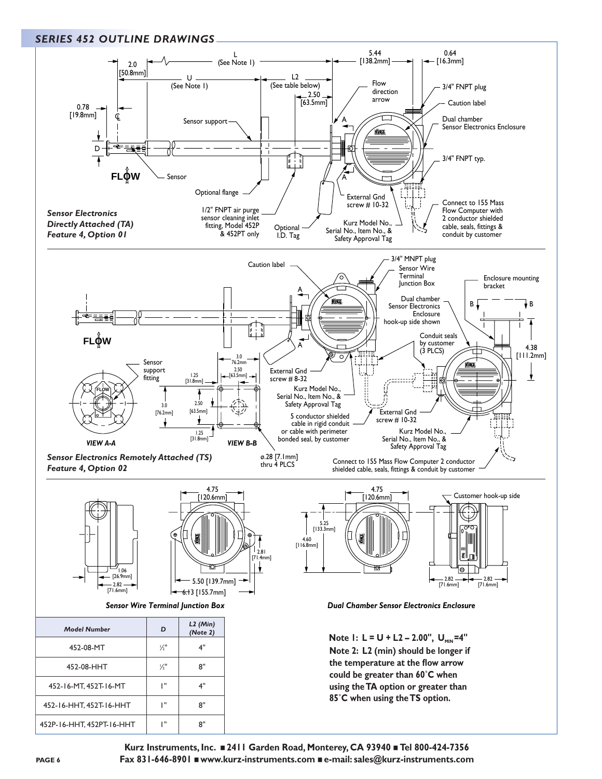### *SERIES 452 OUTLINE DRAWINGS*



**Kurz Instruments, Inc.** ■ **2411 Garden Road, Monterey, CA 93940** ■ **Tel 800-424-7356 Fax 831-646-8901** ■ **www.kurz-instruments.com** ■ **e-mail: sales@kurz-instruments.com**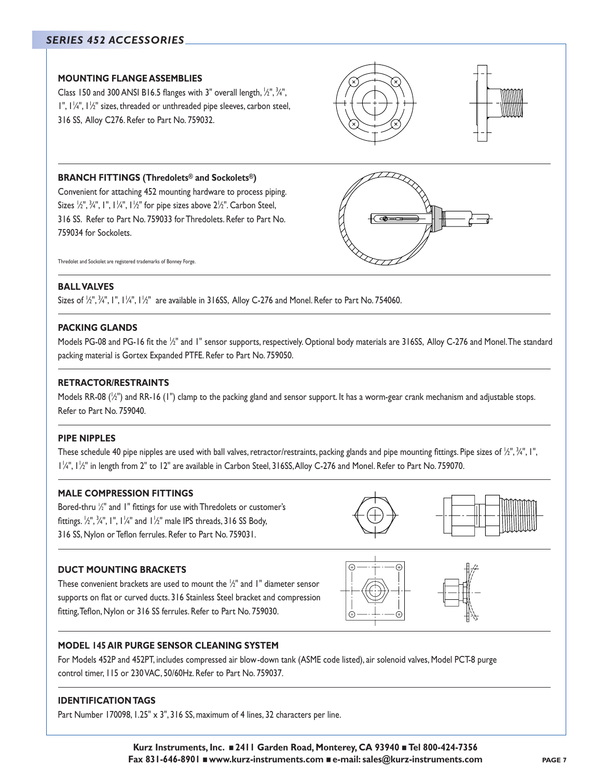# *SERIES 452 ACCESSORIES*

### **MOUNTING FLANGE ASSEMBLIES**

Class 150 and 300 ANSI B16.5 flanges with 3" overall length,  $\frac{1}{2}$ ",  $\frac{3}{4}$ ",  $\mathsf{I}''$ ,  $\mathsf{I}'_4''$ ,  $\mathsf{I}'_2''$  sizes, threaded or unthreaded pipe sleeves, carbon steel, 316 SS, Alloy C276. Refer to Part No. 759032.

### **BRANCH FITTINGS (Thredolets® and Sockolets®)**

Convenient for attaching 452 mounting hardware to process piping. Sizes 1 ⁄2", <sup>3</sup> ⁄4", 1", 11 ⁄4", 11 ⁄2" for pipe sizes above 21 ⁄2". Carbon Steel, 316 SS. Refer to Part No. 759033 for Thredolets. Refer to Part No. 759034 for Sockolets.

Thredolet and Sockolet are registered trademarks of Bonney Forge.

### **BALL VALVES**

Sizes of  $\Z',$   $\Z',$  ,  $\Z',$  ,  $\Z',$  ,  $\Z',$  are available in 316SS, Alloy C-276 and Monel. Refer to Part No. 754060.

### **PACKING GLANDS**

Models PG-08 and PG-16 fit the ½" and 1" sensor supports, respectively. Optional body materials are 316SS, Alloy C-276 and Monel.The standard packing material is Gortex Expanded PTFE. Refer to Part No. 759050.

### **RETRACTOR/RESTRAINTS**

Models RR-08 ( $\rm \rm \rm /2$ ") and RR-16 (1") clamp to the packing gland and sensor support. It has a worm-gear crank mechanism and adjustable stops. Refer to Part No. 759040.

### **PIPE NIPPLES**

These schedule 40 pipe nipples are used with ball valves, retractor/restraints, packing glands and pipe mounting fittings. Pipe sizes of ½", ¾", I", 1/4", 1/2" in length from 2" to 12" are available in Carbon Steel, 316SS, Alloy C-276 and Monel. Refer to Part No. 759070.

### **MALE COMPRESSION FITTINGS**

Bored-thru  $\mathbin{/}$  and 1" fittings for use with Thredolets or customer's fittings. <sup>1</sup> ⁄2", <sup>3</sup> ⁄4", 1", 11 ⁄4" and 11 ⁄2" male IPS threads, 316 SS Body, 316 SS, Nylon or Teflon ferrules. Refer to Part No. 759031.

### **DUCT MOUNTING BRACKETS**

These convenient brackets are used to mount the  $\frac{1}{2}$ " and 1" diameter sensor supports on flat or curved ducts. 316 Stainless Steel bracket and compression fitting,Teflon, Nylon or 316 SS ferrules. Refer to Part No. 759030.





# **MODEL 145 AIR PURGE SENSOR CLEANING SYSTEM**

For Models 452P and 452PT, includes compressed air blow-down tank (ASME code listed), air solenoid valves, Model PCT-8 purge control timer, 115 or 230 VAC, 50/60Hz. Refer to Part No. 759037.

### **IDENTIFICATION TAGS**

Part Number 170098, 1.25" x 3", 316 SS, maximum of 4 lines, 32 characters per line.